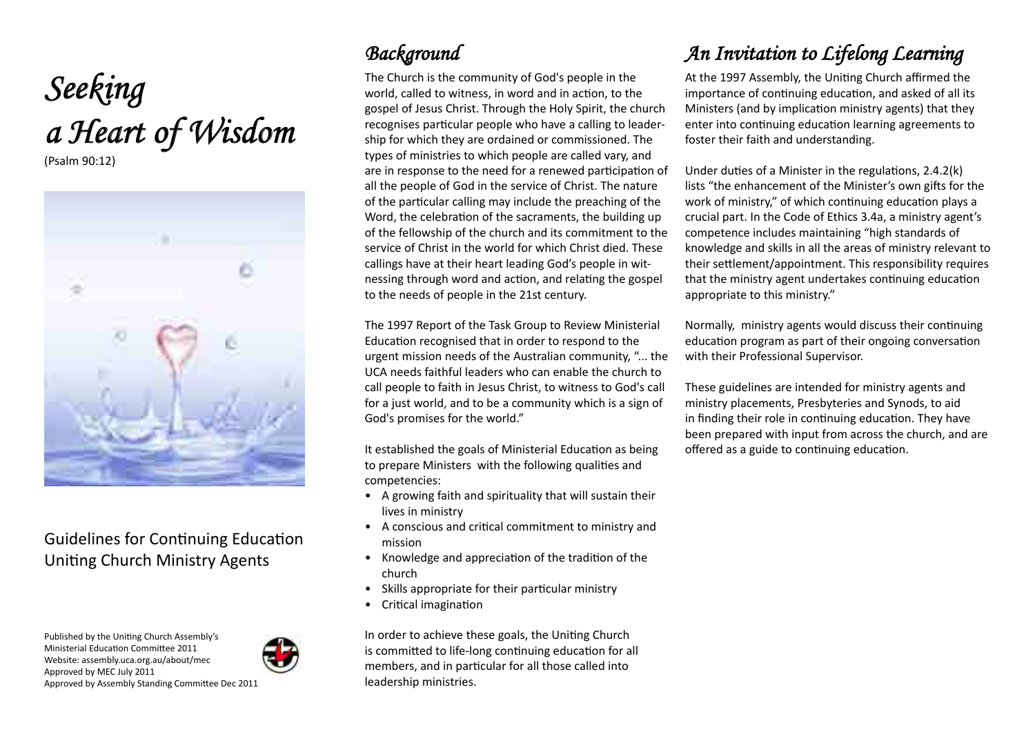# *Seeking a Heart of Wisdom*

(Psalm 90:12)



### Guidelines for Continuing Education Uniting Church Ministry Agents

Published by the Uniting Church Assembly's Ministerial Education Committee 2011 Website: assembly.uca.org.au/about/mec Approved by MEC July 2011



Approved by Assembly Standing Committee Dec 2011

## *Background*

The Church is the community of God's people in the world, called to witness, in word and in action, to the gospel of Jesus Christ. Through the Holy Spirit, the church recognises particular people who have a calling to leadership for which they are ordained or commissioned. The types of ministries to which people are called vary, and are in response to the need for a renewed participation of all the people of God in the service of Christ. The nature of the particular calling may include the preaching of the Word, the celebration of the sacraments, the building up of the fellowship of the church and its commitment to the service of Christ in the world for which Christ died. These callings have at their heart leading God's people in witnessing through word and action, and relating the gospel to the needs of people in the 21st century.

The 1997 Report of the Task Group to Review Ministerial Education recognised that in order to respond to the urgent mission needs of the Australian community, "... the UCA needs faithful leaders who can enable the church to call people to faith in Jesus Christ, to witness to God's call for a just world, and to be a community which is a sign of God's promises for the world."

It established the goals of Ministerial Education as being to prepare Ministers with the following qualities and competencies:

- A growing faith and spirituality that will sustain their lives in ministry
- A conscious and critical commitment to ministry and mission
- Knowledge and appreciation of the tradition of the church
- Skills appropriate for their particular ministry
- Critical imagination

In order to achieve these goals, the Uniting Church is committed to life-long continuing education for all members, and in particular for all those called into leadership ministries.

# *An Invitation to Lifelong Learning*

At the 1997 Assembly, the Uniting Church affirmed the importance of continuing education, and asked of all its Ministers (and by implication ministry agents) that they enter into continuing education learning agreements to foster their faith and understanding.

Under duties of a Minister in the regulations, 2.4.2(k) lists "the enhancement of the Minister's own gifts for the work of ministry," of which continuing education plays a crucial part. In the Code of Ethics 3.4a, a ministry agent's competence includes maintaining "high standards of knowledge and skills in all the areas of ministry relevant to their settlement/appointment. This responsibility requires that the ministry agent undertakes continuing education appropriate to this ministry."

Normally, ministry agents would discuss their continuing education program as part of their ongoing conversation with their Professional Supervisor.

These guidelines are intended for ministry agents and ministry placements, Presbyteries and Synods, to aid in finding their role in continuing education. They have been prepared with input from across the church, and are offered as a guide to continuing education.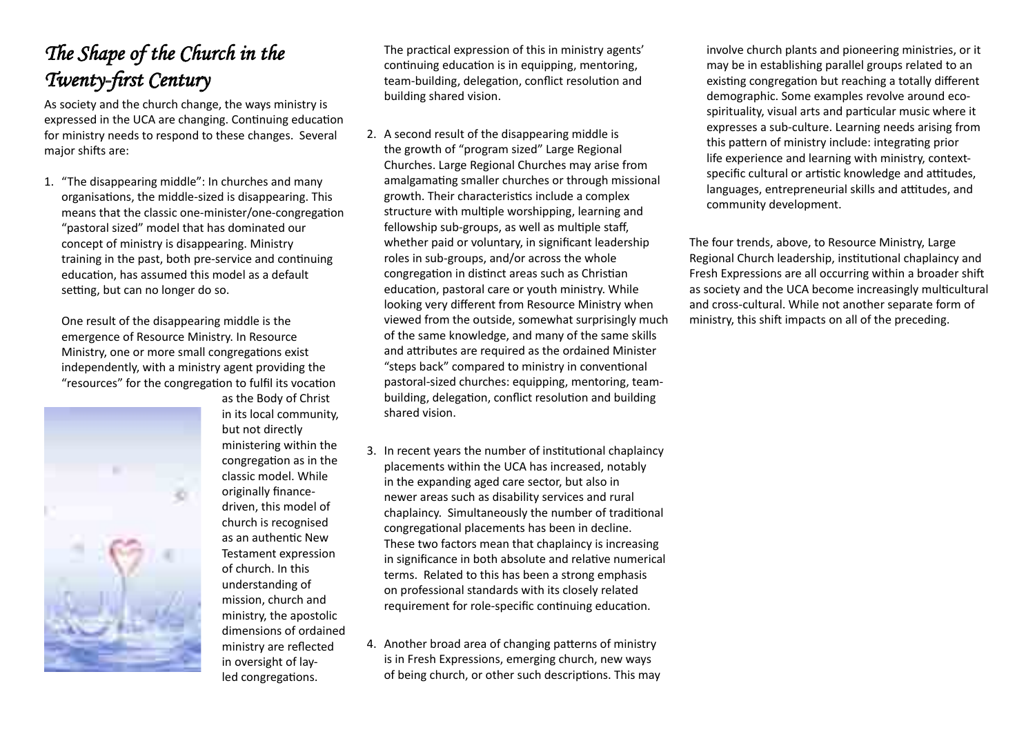# *The Shape of the Church in the Twenty-first Century*

As society and the church change, the ways ministry is expressed in the UCA are changing. Continuing education for ministry needs to respond to these changes. Several major shifts are:

1. "The disappearing middle": In churches and many organisations, the middle-sized is disappearing. This means that the classic one-minister/one-congregation "pastoral sized" model that has dominated our concept of ministry is disappearing. Ministry training in the past, both pre-service and continuing education, has assumed this model as a default setting, but can no longer do so.

One result of the disappearing middle is the emergence of Resource Ministry. In Resource Ministry, one or more small congregations exist independently, with a ministry agent providing the "resources" for the congregation to fulfil its vocation



as the Body of Christ in its local community, but not directly ministering within the congregation as in the classic model. While originally financedriven, this model of church is recognised as an authentic New Testament expression of church. In this understanding of mission, church and ministry, the apostolic dimensions of ordained ministry are reflected in oversight of layled congregations.

The practical expression of this in ministry agents' continuing education is in equipping, mentoring, team-building, delegation, conflict resolution and building shared vision.

- 2. A second result of the disappearing middle is the growth of "program sized" Large Regional Churches. Large Regional Churches may arise from amalgamating smaller churches or through missional growth. Their characteristics include a complex structure with multiple worshipping, learning and fellowship sub-groups, as well as multiple staff, whether paid or voluntary, in significant leadership roles in sub-groups, and/or across the whole congregation in distinct areas such as Christian education, pastoral care or youth ministry. While looking very different from Resource Ministry when viewed from the outside, somewhat surprisingly much of the same knowledge, and many of the same skills and attributes are required as the ordained Minister "steps back" compared to ministry in conventional pastoral-sized churches: equipping, mentoring, teambuilding, delegation, conflict resolution and building shared vision.
- 3. In recent years the number of institutional chaplaincy placements within the UCA has increased, notably in the expanding aged care sector, but also in newer areas such as disability services and rural chaplaincy. Simultaneously the number of traditional congregational placements has been in decline. These two factors mean that chaplaincy is increasing in significance in both absolute and relative numerical terms. Related to this has been a strong emphasis on professional standards with its closely related requirement for role-specific continuing education.
- 4. Another broad area of changing patterns of ministry is in Fresh Expressions, emerging church, new ways of being church, or other such descriptions. This may

involve church plants and pioneering ministries, or it may be in establishing parallel groups related to an existing congregation but reaching a totally different demographic. Some examples revolve around ecospirituality, visual arts and particular music where it expresses a sub-culture. Learning needs arising from this pattern of ministry include: integrating prior life experience and learning with ministry, contextspecific cultural or artistic knowledge and attitudes, languages, entrepreneurial skills and attitudes, and community development.

The four trends, above, to Resource Ministry, Large Regional Church leadership, institutional chaplaincy and Fresh Expressions are all occurring within a broader shift as society and the UCA become increasingly multicultural and cross-cultural. While not another separate form of ministry, this shift impacts on all of the preceding.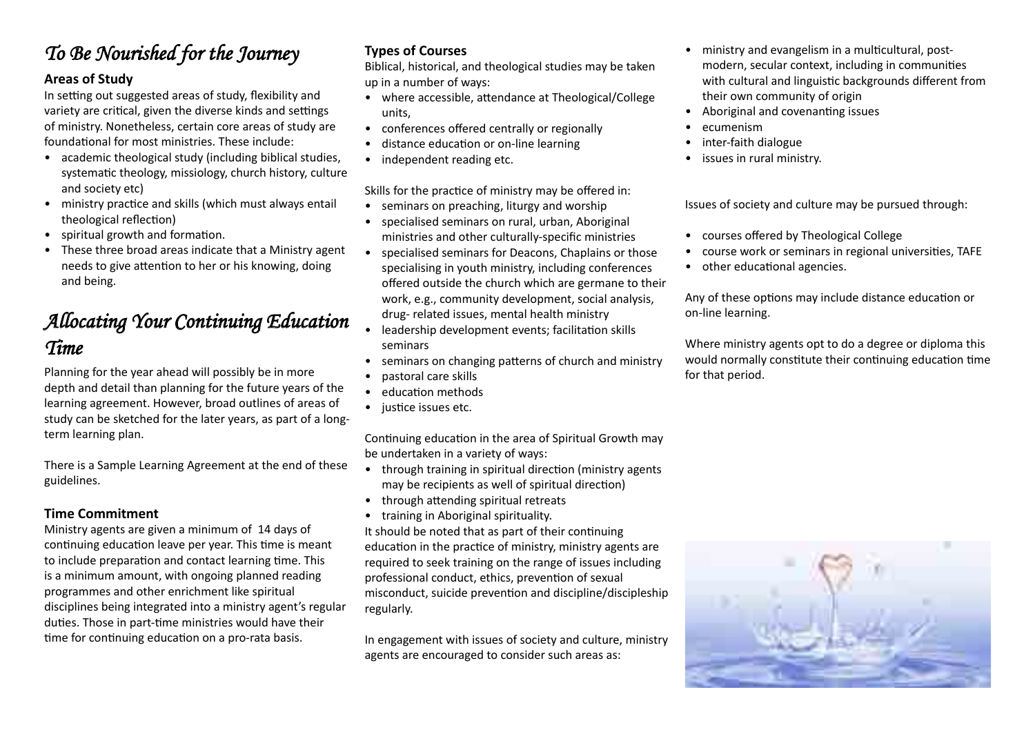### *To Be Nourished for the Journey*

#### **Areas of Study**

In setting out suggested areas of study, flexibility and variety are critical, given the diverse kinds and settings of ministry. Nonetheless, certain core areas of study are foundational for most ministries. These include:

- academic theological study (including biblical studies, systematic theology, missiology, church history, culture and society etc)
- ministry practice and skills (which must always entail theological reflection)
- spiritual growth and formation.
- These three broad areas indicate that a Ministry agent needs to give attention to her or his knowing, doing and being.

### *Allocating Your Continuing Education Time*

Planning for the year ahead will possibly be in more depth and detail than planning for the future years of the learning agreement. However, broad outlines of areas of study can be sketched for the later years, as part of a longterm learning plan.

There is a Sample Learning Agreement at the end of these guidelines.

#### **Time Commitment**

Ministry agents are given a minimum of 14 days of continuing education leave per year. This time is meant to include preparation and contact learning time. This is a minimum amount, with ongoing planned reading programmes and other enrichment like spiritual disciplines being integrated into a ministry agent's regular duties. Those in part-time ministries would have their time for continuing education on a pro-rata basis.

#### **Types of Courses**

Biblical, historical, and theological studies may be taken up in a number of ways:

- where accessible, attendance at Theological/College units,
- conferences offered centrally or regionally
- distance education or on-line learning
- independent reading etc.

Skills for the practice of ministry may be offered in:

- seminars on preaching, liturgy and worship
- specialised seminars on rural, urban, Aboriginal ministries and other culturally-specific ministries
- specialised seminars for Deacons, Chaplains or those specialising in youth ministry, including conferences offered outside the church which are germane to their work, e.g., community development, social analysis, drug- related issues, mental health ministry
- leadership development events; facilitation skills seminars
- seminars on changing patterns of church and ministry
- pastoral care skills
- education methods
- *justice issues etc.*

Continuing education in the area of Spiritual Growth may be undertaken in a variety of ways:

- through training in spiritual direction (ministry agents may be recipients as well of spiritual direction)
- through attending spiritual retreats
- training in Aboriginal spirituality.

It should be noted that as part of their continuing education in the practice of ministry, ministry agents are required to seek training on the range of issues including professional conduct, ethics, prevention of sexual misconduct, suicide prevention and discipline/discipleship regularly.

In engagement with issues of society and culture, ministry agents are encouraged to consider such areas as:

- ministry and evangelism in a multicultural, postmodern, secular context, including in communities with cultural and linguistic backgrounds different from their own community of origin
- Aboriginal and covenanting issues
- ecumenism
- inter-faith dialogue
- issues in rural ministry.

Issues of society and culture may be pursued through:

- courses offered by Theological College
- course work or seminars in regional universities, TAFE
- other educational agencies.

Any of these options may include distance education or on-line learning.

Where ministry agents opt to do a degree or diploma this would normally constitute their continuing education time for that period.

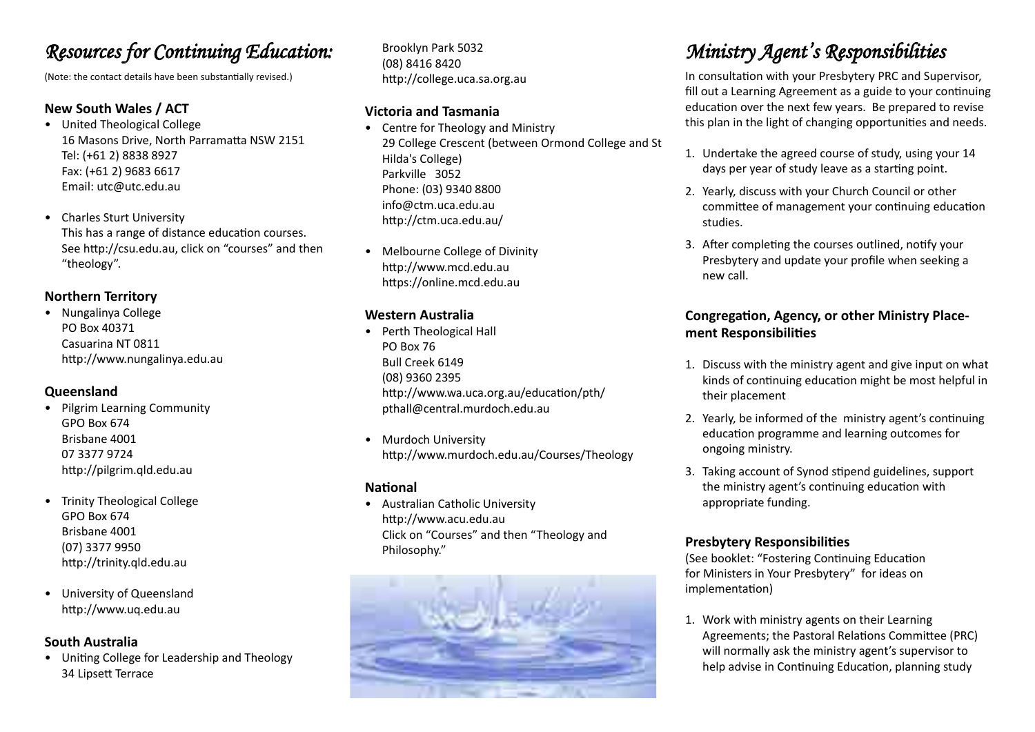### *Resources for Continuing Education:*

(Note: the contact details have been substantially revised.)

#### **New South Wales / ACT**

- United Theological College 16 Masons Drive, North Parramatta NSW 2151 Tel: (+61 2) 8838 8927 Fax: (+61 2) 9683 6617 Email: utc@utc.edu.au
- Charles Sturt University This has a range of distance education courses. See http://csu.edu.au, click on "courses" and then "theology".

#### **Northern Territory**

• Nungalinya College PO Box 40371 Casuarina NT 0811 http://www.nungalinya.edu.au

#### **Queensland**

- Pilgrim Learning Community GPO Box 674 Brisbane 4001 07 3377 9724 http://pilgrim.qld.edu.au
- Trinity Theological College GPO Box 674 Brisbane 4001 (07) 3377 9950 http://trinity.qld.edu.au
- University of Queensland http://www.uq.edu.au

#### **South Australia**

• Uniting College for Leadership and Theology 34 Lipsett Terrace

Brooklyn Park 5032 (08) 8416 8420 http://college.uca.sa.org.au

#### **Victoria and Tasmania**

- Centre for Theology and Ministry 29 College Crescent (between Ormond College and St Hilda's College) Parkville 3052 Phone: (03) 9340 8800 info@ctm.uca.edu.au http://ctm.uca.edu.au/
- Melbourne College of Divinity http://www.mcd.edu.au https://online.mcd.edu.au

#### **Western Australia**

- Perth Theological Hall PO Box 76 Bull Creek 6149 (08) 9360 2395 http://www.wa.uca.org.au/education/pth/ pthall@central.murdoch.edu.au
- Murdoch University http://www.murdoch.edu.au/Courses/Theology

#### **National**

• Australian Catholic University http://www.acu.edu.au Click on "Courses" and then "Theology and Philosophy."



# *Ministry Agent's Responsibilities*

In consultation with your Presbytery PRC and Supervisor, fill out a Learning Agreement as a guide to your continuing education over the next few years. Be prepared to revise this plan in the light of changing opportunities and needs.

- 1. Undertake the agreed course of study, using your 14 days per year of study leave as a starting point.
- 2. Yearly, discuss with your Church Council or other committee of management your continuing education studies.
- 3. After completing the courses outlined, notify your Presbytery and update your profile when seeking a new call.

#### **Congregation, Agency, or other Ministry Placement Responsibilities**

- 1. Discuss with the ministry agent and give input on what kinds of continuing education might be most helpful in their placement
- 2. Yearly, be informed of the ministry agent's continuing education programme and learning outcomes for ongoing ministry.
- 3. Taking account of Synod stipend guidelines, support the ministry agent's continuing education with appropriate funding.

#### **Presbytery Responsibilities**

(See booklet: "Fostering Continuing Education for Ministers in Your Presbytery" for ideas on implementation)

1. Work with ministry agents on their Learning Agreements; the Pastoral Relations Committee (PRC) will normally ask the ministry agent's supervisor to help advise in Continuing Education, planning study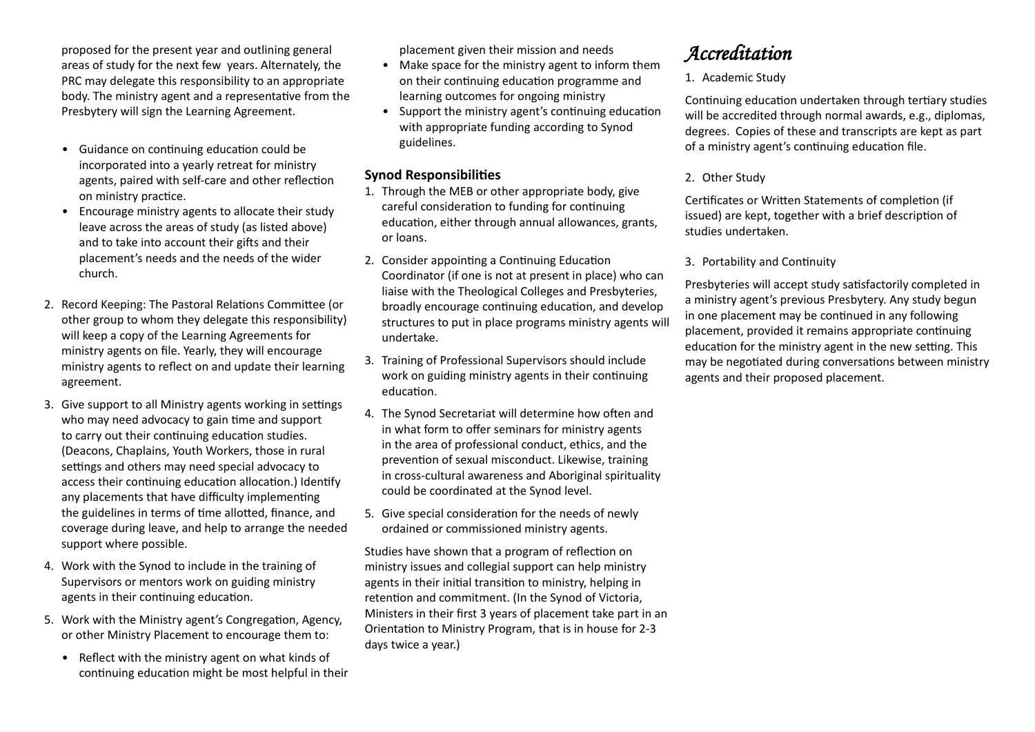proposed for the present year and outlining general areas of study for the next few years. Alternately, the PRC may delegate this responsibility to an appropriate body. The ministry agent and a representative from the Presbytery will sign the Learning Agreement.

- Guidance on continuing education could be incorporated into a yearly retreat for ministry agents, paired with self-care and other reflection on ministry practice.
- Encourage ministry agents to allocate their study leave across the areas of study (as listed above) and to take into account their gifts and their placement's needs and the needs of the wider church.
- 2. Record Keeping: The Pastoral Relations Committee (or other group to whom they delegate this responsibility) will keep a copy of the Learning Agreements for ministry agents on file. Yearly, they will encourage ministry agents to reflect on and update their learning agreement.
- 3. Give support to all Ministry agents working in settings who may need advocacy to gain time and support to carry out their continuing education studies. (Deacons, Chaplains, Youth Workers, those in rural settings and others may need special advocacy to access their continuing education allocation.) Identify any placements that have difficulty implementing the guidelines in terms of time allotted, finance, and coverage during leave, and help to arrange the needed support where possible.
- 4. Work with the Synod to include in the training of Supervisors or mentors work on guiding ministry agents in their continuing education.
- 5. Work with the Ministry agent's Congregation, Agency, or other Ministry Placement to encourage them to:
	- Reflect with the ministry agent on what kinds of continuing education might be most helpful in their

placement given their mission and needs

- Make space for the ministry agent to inform them on their continuing education programme and learning outcomes for ongoing ministry
- Support the ministry agent's continuing education with appropriate funding according to Synod guidelines.

#### **Synod Responsibilities**

- 1. Through the MEB or other appropriate body, give careful consideration to funding for continuing education, either through annual allowances, grants, or loans.
- 2. Consider appointing a Continuing Education Coordinator (if one is not at present in place) who can liaise with the Theological Colleges and Presbyteries, broadly encourage continuing education, and develop structures to put in place programs ministry agents will undertake.
- 3. Training of Professional Supervisors should include work on guiding ministry agents in their continuing education.
- 4. The Synod Secretariat will determine how often and in what form to offer seminars for ministry agents in the area of professional conduct, ethics, and the prevention of sexual misconduct. Likewise, training in cross-cultural awareness and Aboriginal spirituality could be coordinated at the Synod level.
- 5. Give special consideration for the needs of newly ordained or commissioned ministry agents.

Studies have shown that a program of reflection on ministry issues and collegial support can help ministry agents in their initial transition to ministry, helping in retention and commitment. (In the Synod of Victoria, Ministers in their first 3 years of placement take part in an Orientation to Ministry Program, that is in house for 2-3 days twice a year.)

### *Accreditation*

1. Academic Study

Continuing education undertaken through tertiary studies will be accredited through normal awards, e.g., diplomas, degrees. Copies of these and transcripts are kept as part of a ministry agent's continuing education file.

#### 2. Other Study

Certificates or Written Statements of completion (if issued) are kept, together with a brief description of studies undertaken.

3. Portability and Continuity

Presbyteries will accept study satisfactorily completed in a ministry agent's previous Presbytery. Any study begun in one placement may be continued in any following placement, provided it remains appropriate continuing education for the ministry agent in the new setting. This may be negotiated during conversations between ministry agents and their proposed placement.